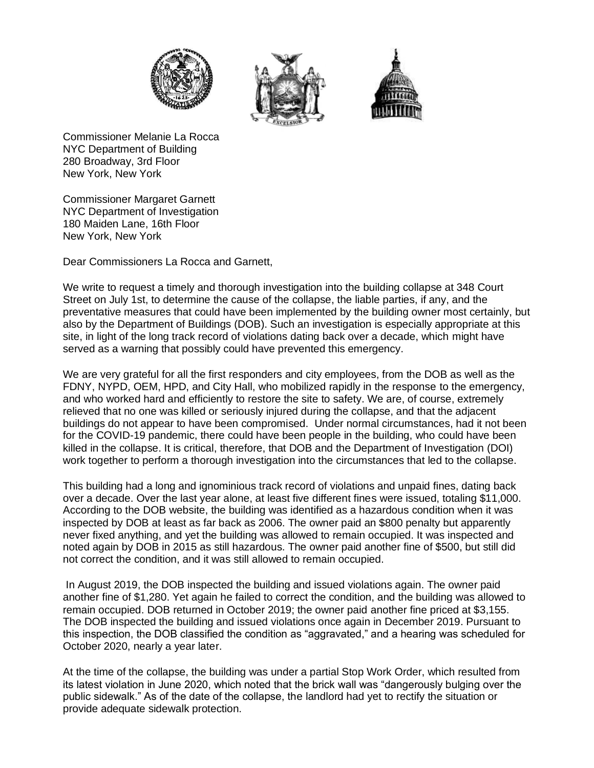





Commissioner Melanie La Rocca NYC Department of Building 280 Broadway, 3rd Floor New York, New York

Commissioner Margaret Garnett NYC Department of Investigation 180 Maiden Lane, 16th Floor New York, New York

Dear Commissioners La Rocca and Garnett,

We write to request a timely and thorough investigation into the building collapse at 348 Court Street on July 1st, to determine the cause of the collapse, the liable parties, if any, and the preventative measures that could have been implemented by the building owner most certainly, but also by the Department of Buildings (DOB). Such an investigation is especially appropriate at this site, in light of the long track record of violations dating back over a decade, which might have served as a warning that possibly could have prevented this emergency.

We are very grateful for all the first responders and city employees, from the DOB as well as the FDNY, NYPD, OEM, HPD, and City Hall, who mobilized rapidly in the response to the emergency, and who worked hard and efficiently to restore the site to safety. We are, of course, extremely relieved that no one was killed or seriously injured during the collapse, and that the adjacent buildings do not appear to have been compromised. Under normal circumstances, had it not been for the COVID-19 pandemic, there could have been people in the building, who could have been killed in the collapse. It is critical, therefore, that DOB and the Department of Investigation (DOI) work together to perform a thorough investigation into the circumstances that led to the collapse.

This building had a long and ignominious track record of violations and unpaid fines, dating back over a decade. Over the last year alone, at least five different fines were issued, totaling \$11,000. According to the DOB website, the building was identified as a hazardous condition when it was inspected by DOB at least as far back as 2006. The owner paid an \$800 penalty but apparently never fixed anything, and yet the building was allowed to remain occupied. It was inspected and noted again by DOB in 2015 as still hazardous. The owner paid another fine of \$500, but still did not correct the condition, and it was still allowed to remain occupied.

In August 2019, the DOB inspected the building and issued violations again. The owner paid another fine of \$1,280. Yet again he failed to correct the condition, and the building was allowed to remain occupied. DOB returned in October 2019; the owner paid another fine priced at \$3,155. The DOB inspected the building and issued violations once again in December 2019. Pursuant to this inspection, the DOB classified the condition as "aggravated," and a hearing was scheduled for October 2020, nearly a year later.

At the time of the collapse, the building was under a partial Stop Work Order, which resulted from its latest violation in June 2020, which noted that the brick wall was "dangerously bulging over the public sidewalk." As of the date of the collapse, the landlord had yet to rectify the situation or provide adequate sidewalk protection.